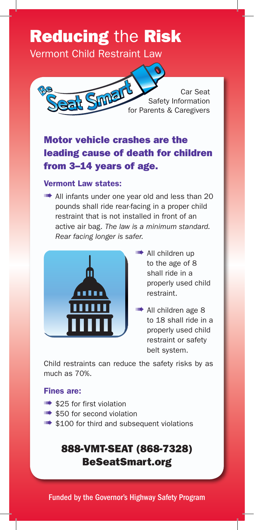# Reducing the Risk

Vermont Child Restraint Law



Car Seat Safety Information Car Seat<br>Safety Information<br>for Parents & Caregivers

# Motor vehicle crashes are the leading cause of death for children from 3–14 years of age.

#### Vermont Law states:

**III** All infants under one year old and less than 20 pounds shall ride rear-facing in a proper child restraint that is not installed in front of an active air bag. *The law is a minimum standard. Rear facing longer is safer.*



- **IIII** All children up to the age of 8 shall ride in a properly used child restraint.
- ➠ All children age 8 to 18 shall ride in a properly used child restraint or safety belt system.

Child restraints can reduce the safety risks by as much as 70%.

#### Fines are:

- **S25** for first violation
- ➠ \$50 for second violation
- **IIIII•** \$100 for third and subsequent violations

# 888-VMT-SEAT (868-7328) BeSeatSmart.org

Funded by the Governor's Highway Safety Program